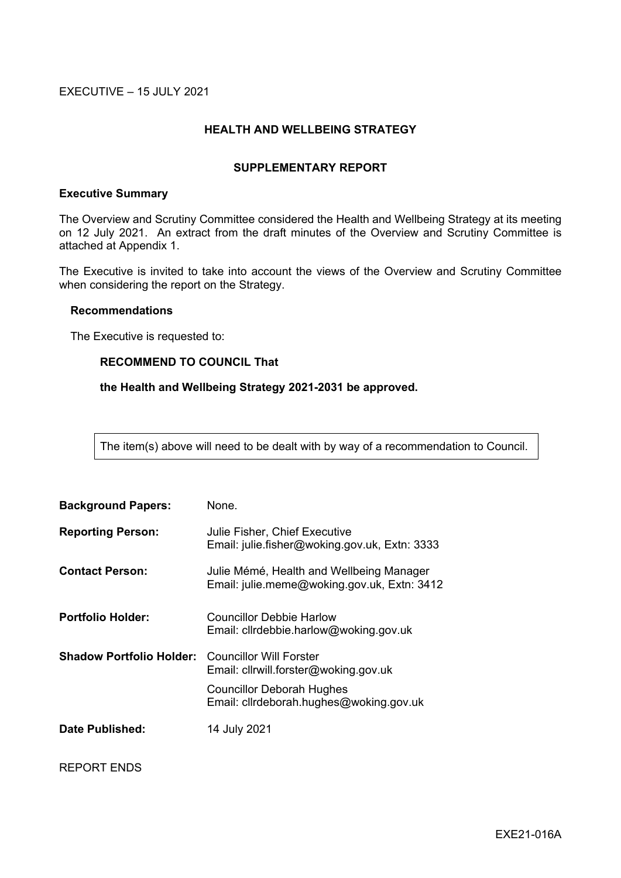EXECUTIVE – 15 JULY 2021

# **HEALTH AND WELLBEING STRATEGY**

## **SUPPLEMENTARY REPORT**

## **Executive Summary**

The Overview and Scrutiny Committee considered the Health and Wellbeing Strategy at its meeting on 12 July 2021. An extract from the draft minutes of the Overview and Scrutiny Committee is attached at Appendix 1.

The Executive is invited to take into account the views of the Overview and Scrutiny Committee when considering the report on the Strategy.

#### **Recommendations**

The Executive is requested to:

# **RECOMMEND TO COUNCIL That**

## **the Health and Wellbeing Strategy 2021-2031 be approved.**

The item(s) above will need to be dealt with by way of a recommendation to Council.

| <b>Background Papers:</b>       | None.                                                                                                                                                  |
|---------------------------------|--------------------------------------------------------------------------------------------------------------------------------------------------------|
| <b>Reporting Person:</b>        | <b>Julie Fisher, Chief Executive</b><br>Email: julie.fisher@woking.gov.uk, Extn: 3333                                                                  |
| <b>Contact Person:</b>          | Julie Mémé, Health and Wellbeing Manager<br>Email: julie.meme@woking.gov.uk, Extn: 3412                                                                |
| <b>Portfolio Holder:</b>        | <b>Councillor Debbie Harlow</b><br>Email: cllrdebbie.harlow@woking.gov.uk                                                                              |
| <b>Shadow Portfolio Holder:</b> | <b>Councillor Will Forster</b><br>Email: cllrwill.forster@woking.gov.uk<br><b>Councillor Deborah Hughes</b><br>Email: cllrdeborah.hughes@woking.gov.uk |
| Date Published:                 | 14 July 2021                                                                                                                                           |

REPORT ENDS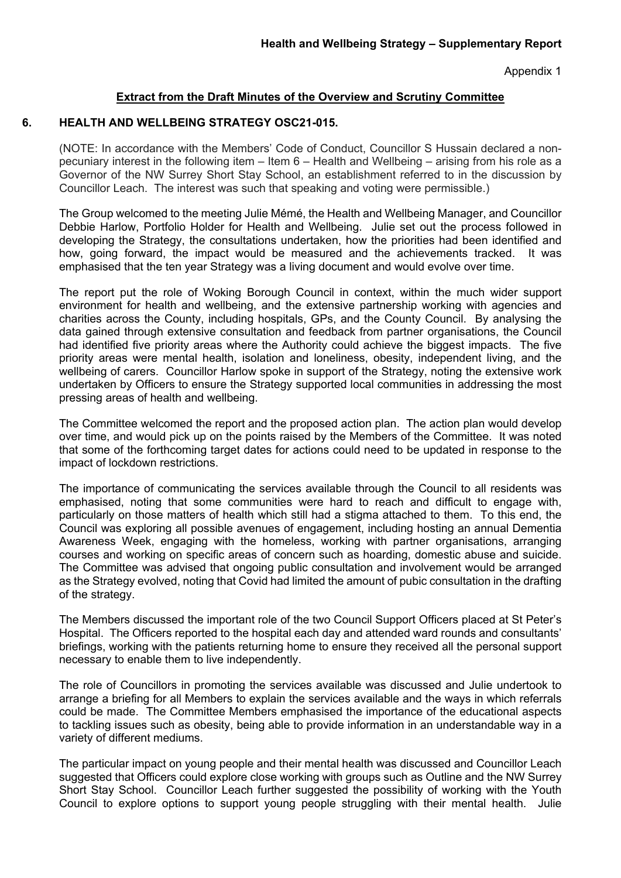Appendix 1

# **Extract from the Draft Minutes of the Overview and Scrutiny Committee**

# **6. HEALTH AND WELLBEING STRATEGY OSC21-015.**

(NOTE: In accordance with the Members' Code of Conduct, Councillor S Hussain declared a nonpecuniary interest in the following item – Item 6 – Health and Wellbeing – arising from his role as a Governor of the NW Surrey Short Stay School, an establishment referred to in the discussion by Councillor Leach. The interest was such that speaking and voting were permissible.)

The Group welcomed to the meeting Julie Mémé, the Health and Wellbeing Manager, and Councillor Debbie Harlow, Portfolio Holder for Health and Wellbeing. Julie set out the process followed in developing the Strategy, the consultations undertaken, how the priorities had been identified and how, going forward, the impact would be measured and the achievements tracked. It was emphasised that the ten year Strategy was a living document and would evolve over time.

The report put the role of Woking Borough Council in context, within the much wider support environment for health and wellbeing, and the extensive partnership working with agencies and charities across the County, including hospitals, GPs, and the County Council. By analysing the data gained through extensive consultation and feedback from partner organisations, the Council had identified five priority areas where the Authority could achieve the biggest impacts. The five priority areas were mental health, isolation and loneliness, obesity, independent living, and the wellbeing of carers. Councillor Harlow spoke in support of the Strategy, noting the extensive work undertaken by Officers to ensure the Strategy supported local communities in addressing the most pressing areas of health and wellbeing.

The Committee welcomed the report and the proposed action plan. The action plan would develop over time, and would pick up on the points raised by the Members of the Committee. It was noted that some of the forthcoming target dates for actions could need to be updated in response to the impact of lockdown restrictions.

The importance of communicating the services available through the Council to all residents was emphasised, noting that some communities were hard to reach and difficult to engage with, particularly on those matters of health which still had a stigma attached to them. To this end, the Council was exploring all possible avenues of engagement, including hosting an annual Dementia Awareness Week, engaging with the homeless, working with partner organisations, arranging courses and working on specific areas of concern such as hoarding, domestic abuse and suicide. The Committee was advised that ongoing public consultation and involvement would be arranged as the Strategy evolved, noting that Covid had limited the amount of pubic consultation in the drafting of the strategy.

The Members discussed the important role of the two Council Support Officers placed at St Peter's Hospital. The Officers reported to the hospital each day and attended ward rounds and consultants' briefings, working with the patients returning home to ensure they received all the personal support necessary to enable them to live independently.

The role of Councillors in promoting the services available was discussed and Julie undertook to arrange a briefing for all Members to explain the services available and the ways in which referrals could be made. The Committee Members emphasised the importance of the educational aspects to tackling issues such as obesity, being able to provide information in an understandable way in a variety of different mediums.

The particular impact on young people and their mental health was discussed and Councillor Leach suggested that Officers could explore close working with groups such as Outline and the NW Surrey Short Stay School. Councillor Leach further suggested the possibility of working with the Youth Council to explore options to support young people struggling with their mental health. Julie